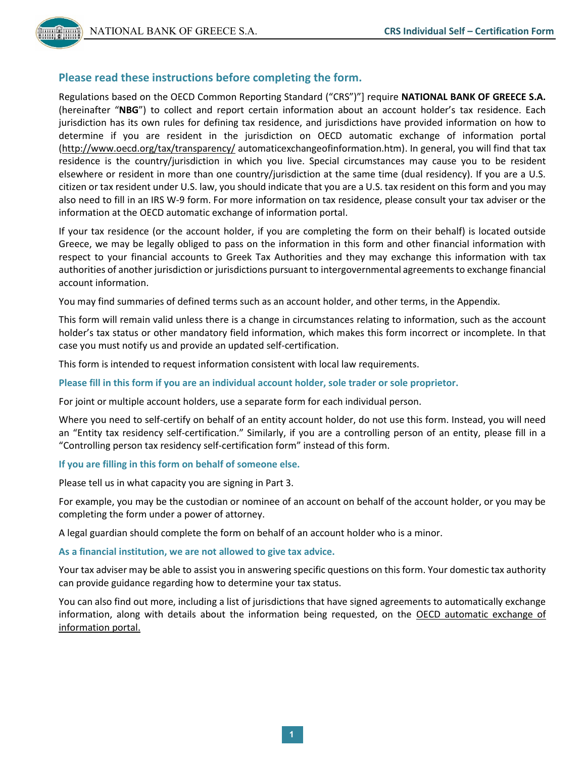# **Please read these instructions before completing the form.**

Regulations based on the OECD Common Reporting Standard ("CRS")"] require **NATIONAL BANK OF GREECE S.A.** (hereinafter "**NBG**") to collect and report certain information about an account holder's tax residence. Each jurisdiction has its own rules for defining tax residence, and jurisdictions have provided information on how to determine if you are resident in the jurisdiction on OECD automatic exchange of information portal [\(http://www.oecd.org/tax/transparency/](http://www.oecd.org/tax/transparency/) automaticexchangeofinformation.htm). In general, you will find that tax residence is the country/jurisdiction in which you live. Special circumstances may cause you to be resident elsewhere or resident in more than one country/jurisdiction at the same time (dual residency). If you are a U.S. citizen or tax resident under U.S. law, you should indicate that you are a U.S. tax resident on this form and you may also need to fill in an IRS W-9 form. For more information on tax residence, please consult your tax adviser or the information at the OECD automatic exchange of information portal.

If your tax residence (or the account holder, if you are completing the form on their behalf) is located outside Greece, we may be legally obliged to pass on the information in this form and other financial information with respect to your financial accounts to Greek Tax Authorities and they may exchange this information with tax authorities of another jurisdiction or jurisdictions pursuant to intergovernmental agreements to exchange financial account information.

You may find summaries of defined terms such as an account holder, and other terms, in the Appendix.

This form will remain valid unless there is a change in circumstances relating to information, such as the account holder's tax status or other mandatory field information, which makes this form incorrect or incomplete. In that case you must notify us and provide an updated self-certification.

This form is intended to request information consistent with local law requirements.

**Please fill in this form if you are an individual account holder, sole trader or sole proprietor.**

For joint or multiple account holders, use a separate form for each individual person.

Where you need to self-certify on behalf of an entity account holder, do not use this form. Instead, you will need an "Entity tax residency self-certification." Similarly, if you are a controlling person of an entity, please fill in a "Controlling person tax residency self-certification form" instead of this form.

**If you are filling in this form on behalf of someone else.**

Please tell us in what capacity you are signing in Part 3.

For example, you may be the custodian or nominee of an account on behalf of the account holder, or you may be completing the form under a power of attorney.

A legal guardian should complete the form on behalf of an account holder who is a minor.

#### **As a financial institution, we are not allowed to give tax advice.**

Your tax adviser may be able to assist you in answering specific questions on this form. Your domestic tax authority can provide guidance regarding how to determine your tax status.

You can also find out more, including a list of jurisdictions that have signed agreements to automatically exchange information, along with details about the information being requested, on the OECD automatic exchange of information portal.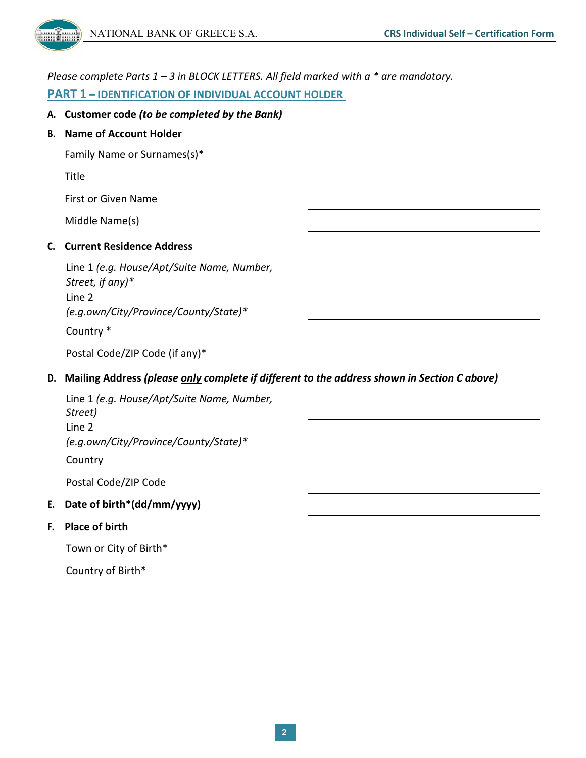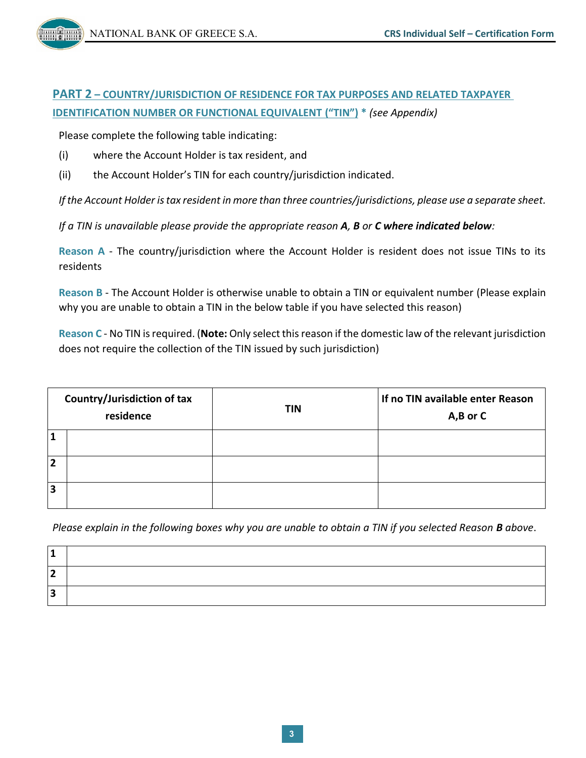# **PART 2 – COUNTRY/JURISDICTION OF RESIDENCE FOR TAX PURPOSES AND RELATED TAXPAYER IDENTIFICATION NUMBER OR FUNCTIONAL EQUIVALENT ("TIN") \*** *(see Appendix)*

Please complete the following table indicating:

- (i) where the Account Holder is tax resident, and
- (ii) the Account Holder's TIN for each country/jurisdiction indicated.

*If the Account Holder is tax resident in more than three countries/jurisdictions, please use a separate sheet.*

*If a TIN is unavailable please provide the appropriate reason A, B or C where indicated below:*

**Reason A** - The country/jurisdiction where the Account Holder is resident does not issue TINs to its residents

**Reason B** - The Account Holder is otherwise unable to obtain a TIN or equivalent number (Please explain why you are unable to obtain a TIN in the below table if you have selected this reason)

**Reason C** - No TIN is required. (**Note:** Only select this reason if the domestic law of the relevant jurisdiction does not require the collection of the TIN issued by such jurisdiction)

| Country/Jurisdiction of tax<br>residence |  | <b>TIN</b> | If no TIN available enter Reason<br>$A,B$ or $C$ |
|------------------------------------------|--|------------|--------------------------------------------------|
|                                          |  |            |                                                  |
| $\overline{2}$                           |  |            |                                                  |
| $\overline{\mathbf{3}}$                  |  |            |                                                  |

*Please explain in the following boxes why you are unable to obtain a TIN if you selected Reason B above*.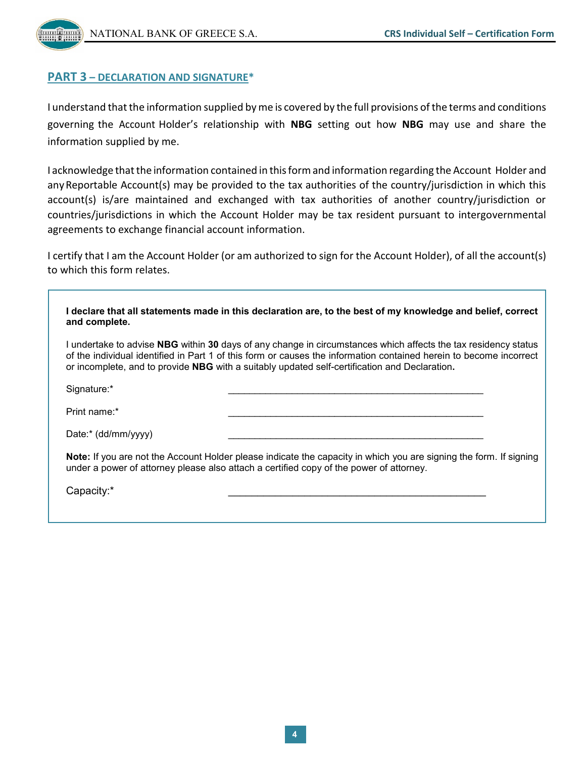

## **PART 3 – DECLARATION AND SIGNATURE\***

I understand that the information supplied by me is covered by the full provisions of the terms and conditions governing the Account Holder's relationship with **NBG** setting out how **NBG** may use and share the information supplied by me.

I acknowledge thatthe information contained in thisformand information regarding the Account Holder and anyReportable Account(s) may be provided to the tax authorities of the country/jurisdiction in which this account(s) is/are maintained and exchanged with tax authorities of another country/jurisdiction or countries/jurisdictions in which the Account Holder may be tax resident pursuant to intergovernmental agreements to exchange financial account information.

I certify that I am the Account Holder (or am authorized to sign for the Account Holder), of all the account(s) to which this form relates.

| I declare that all statements made in this declaration are, to the best of my knowledge and belief, correct<br>and complete.                                                                                                                                                                                                          |  |  |
|---------------------------------------------------------------------------------------------------------------------------------------------------------------------------------------------------------------------------------------------------------------------------------------------------------------------------------------|--|--|
| I undertake to advise NBG within 30 days of any change in circumstances which affects the tax residency status<br>of the individual identified in Part 1 of this form or causes the information contained herein to become incorrect<br>or incomplete, and to provide NBG with a suitably updated self-certification and Declaration. |  |  |
| Signature:*                                                                                                                                                                                                                                                                                                                           |  |  |
| Print name:*                                                                                                                                                                                                                                                                                                                          |  |  |
| Date:* (dd/mm/yyyy)                                                                                                                                                                                                                                                                                                                   |  |  |
| Note: If you are not the Account Holder please indicate the capacity in which you are signing the form. If signing<br>under a power of attorney please also attach a certified copy of the power of attorney.                                                                                                                         |  |  |
| Capacity:*                                                                                                                                                                                                                                                                                                                            |  |  |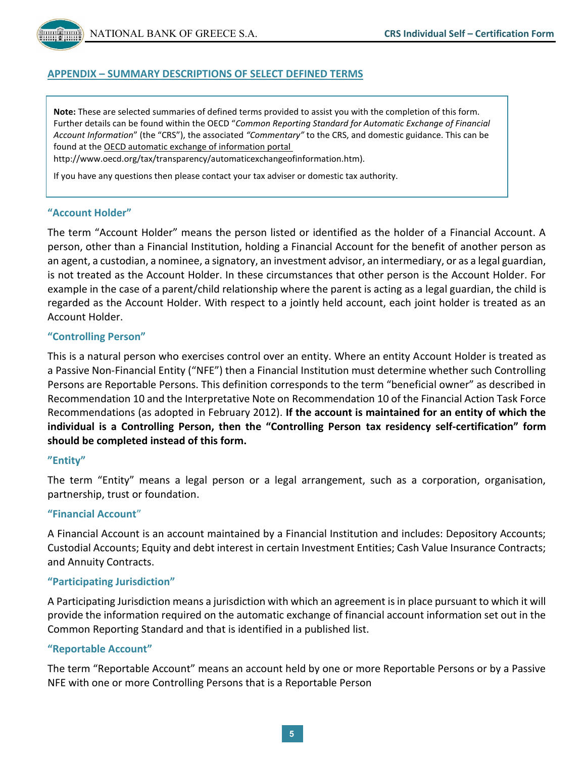### **APPENDIX – SUMMARY DESCRIPTIONS OF SELECT DEFINED TERMS**

**Note:** These are selected summaries of defined terms provided to assist you with the completion of this form. Further details can be found within the OECD "*Common Reporting Standard for Automatic Exchange of Financial Account Information*" (the "CRS"), the associated *"Commentary"* to the CRS, and domestic guidance. This can be found at the OECD automatic exchange of information portal

http://www.oecd.org/tax/transparency/automaticexchangeofinformation.htm).

If you have any questions then please contact your tax adviser or domestic tax authority.

#### **"Account Holder"**

The term "Account Holder" means the person listed or identified as the holder of a Financial Account. A person, other than a Financial Institution, holding a Financial Account for the benefit of another person as an agent, a custodian, a nominee, a signatory, an investment advisor, an intermediary, or as a legal guardian, is not treated as the Account Holder. In these circumstances that other person is the Account Holder. For example in the case of a parent/child relationship where the parent is acting as a legal guardian, the child is regarded as the Account Holder. With respect to a jointly held account, each joint holder is treated as an Account Holder.

#### **"Controlling Person"**

This is a natural person who exercises control over an entity. Where an entity Account Holder is treated as a Passive Non-Financial Entity ("NFE") then a Financial Institution must determine whether such Controlling Persons are Reportable Persons. This definition corresponds to the term "beneficial owner" as described in Recommendation 10 and the Interpretative Note on Recommendation 10 of the Financial Action Task Force Recommendations (as adopted in February 2012). **If the account is maintained for an entity of which the individual is a Controlling Person, then the "Controlling Person tax residency self-certification" form should be completed instead of this form.**

#### **"Entity"**

The term "Entity" means a legal person or a legal arrangement, such as a corporation, organisation, partnership, trust or foundation.

#### **"Financial Account**"

A Financial Account is an account maintained by a Financial Institution and includes: Depository Accounts; Custodial Accounts; Equity and debt interest in certain Investment Entities; Cash Value Insurance Contracts; and Annuity Contracts.

#### **"Participating Jurisdiction"**

A Participating Jurisdiction means a jurisdiction with which an agreement is in place pursuant to which it will provide the information required on the automatic exchange of financial account information set out in the Common Reporting Standard and that is identified in a published list.

#### **"Reportable Account"**

The term "Reportable Account" means an account held by one or more Reportable Persons or by a Passive NFE with one or more Controlling Persons that is a Reportable Person